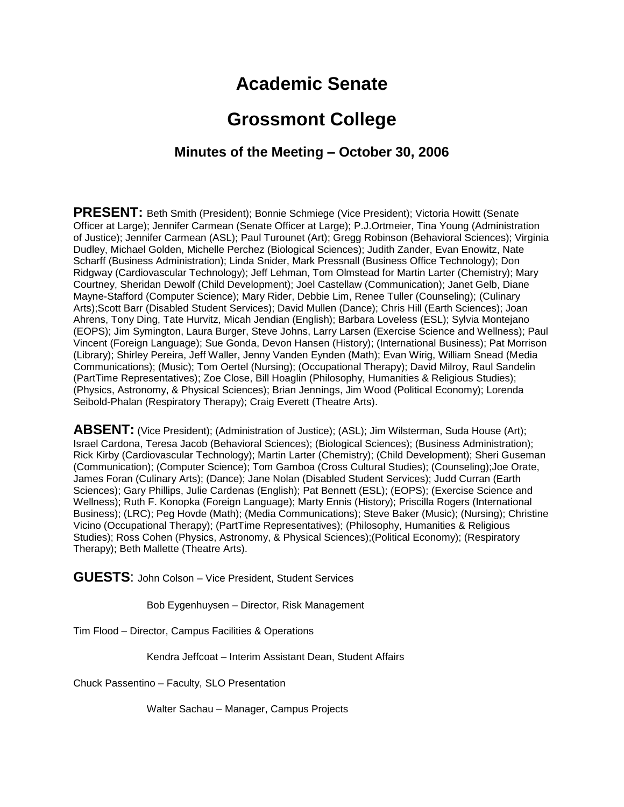# **Academic Senate**

# **Grossmont College**

#### **Minutes of the Meeting – October 30, 2006**

**PRESENT:** Beth Smith (President); Bonnie Schmiege (Vice President); Victoria Howitt (Senate Officer at Large); Jennifer Carmean (Senate Officer at Large); P.J.Ortmeier, Tina Young (Administration of Justice); Jennifer Carmean (ASL); Paul Turounet (Art); Gregg Robinson (Behavioral Sciences); Virginia Dudley, Michael Golden, Michelle Perchez (Biological Sciences); Judith Zander, Evan Enowitz, Nate Scharff (Business Administration); Linda Snider, Mark Pressnall (Business Office Technology); Don Ridgway (Cardiovascular Technology); Jeff Lehman, Tom Olmstead for Martin Larter (Chemistry); Mary Courtney, Sheridan Dewolf (Child Development); Joel Castellaw (Communication); Janet Gelb, Diane Mayne-Stafford (Computer Science); Mary Rider, Debbie Lim, Renee Tuller (Counseling); (Culinary Arts);Scott Barr (Disabled Student Services); David Mullen (Dance); Chris Hill (Earth Sciences); Joan Ahrens, Tony Ding, Tate Hurvitz, Micah Jendian (English); Barbara Loveless (ESL); Sylvia Montejano (EOPS); Jim Symington, Laura Burger, Steve Johns, Larry Larsen (Exercise Science and Wellness); Paul Vincent (Foreign Language); Sue Gonda, Devon Hansen (History); (International Business); Pat Morrison (Library); Shirley Pereira, Jeff Waller, Jenny Vanden Eynden (Math); Evan Wirig, William Snead (Media Communications); (Music); Tom Oertel (Nursing); (Occupational Therapy); David Milroy, Raul Sandelin (PartTime Representatives); Zoe Close, Bill Hoaglin (Philosophy, Humanities & Religious Studies); (Physics, Astronomy, & Physical Sciences); Brian Jennings, Jim Wood (Political Economy); Lorenda Seibold-Phalan (Respiratory Therapy); Craig Everett (Theatre Arts).

**ABSENT:** (Vice President); (Administration of Justice); (ASL); Jim Wilsterman, Suda House (Art); Israel Cardona, Teresa Jacob (Behavioral Sciences); (Biological Sciences); (Business Administration); Rick Kirby (Cardiovascular Technology); Martin Larter (Chemistry); (Child Development); Sheri Guseman (Communication); (Computer Science); Tom Gamboa (Cross Cultural Studies); (Counseling);Joe Orate, James Foran (Culinary Arts); (Dance); Jane Nolan (Disabled Student Services); Judd Curran (Earth Sciences); Gary Phillips, Julie Cardenas (English); Pat Bennett (ESL); (EOPS); (Exercise Science and Wellness); Ruth F. Konopka (Foreign Language); Marty Ennis (History); Priscilla Rogers (International Business); (LRC); Peg Hovde (Math); (Media Communications); Steve Baker (Music); (Nursing); Christine Vicino (Occupational Therapy); (PartTime Representatives); (Philosophy, Humanities & Religious Studies); Ross Cohen (Physics, Astronomy, & Physical Sciences);(Political Economy); (Respiratory Therapy); Beth Mallette (Theatre Arts).

**GUESTS**: John Colson – Vice President, Student Services

Bob Eygenhuysen – Director, Risk Management

Tim Flood – Director, Campus Facilities & Operations

Kendra Jeffcoat – Interim Assistant Dean, Student Affairs

Chuck Passentino – Faculty, SLO Presentation

Walter Sachau – Manager, Campus Projects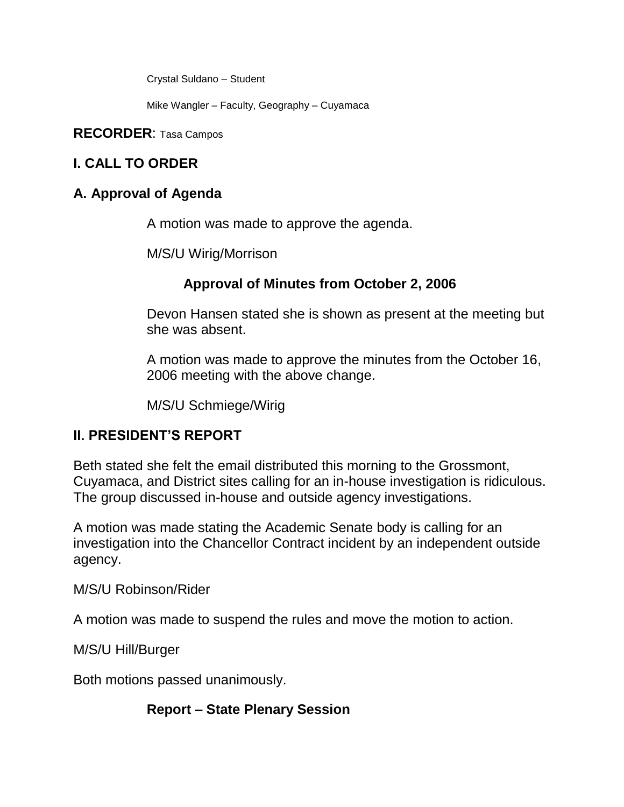Crystal Suldano – Student

Mike Wangler – Faculty, Geography – Cuyamaca

**RECORDER**: Tasa Campos

# **I. CALL TO ORDER**

# **A. Approval of Agenda**

A motion was made to approve the agenda.

M/S/U Wirig/Morrison

# **Approval of Minutes from October 2, 2006**

Devon Hansen stated she is shown as present at the meeting but she was absent.

A motion was made to approve the minutes from the October 16, 2006 meeting with the above change.

M/S/U Schmiege/Wirig

# **II. PRESIDENT'S REPORT**

Beth stated she felt the email distributed this morning to the Grossmont, Cuyamaca, and District sites calling for an in-house investigation is ridiculous. The group discussed in-house and outside agency investigations.

A motion was made stating the Academic Senate body is calling for an investigation into the Chancellor Contract incident by an independent outside agency.

M/S/U Robinson/Rider

A motion was made to suspend the rules and move the motion to action.

M/S/U Hill/Burger

Both motions passed unanimously.

**Report – State Plenary Session**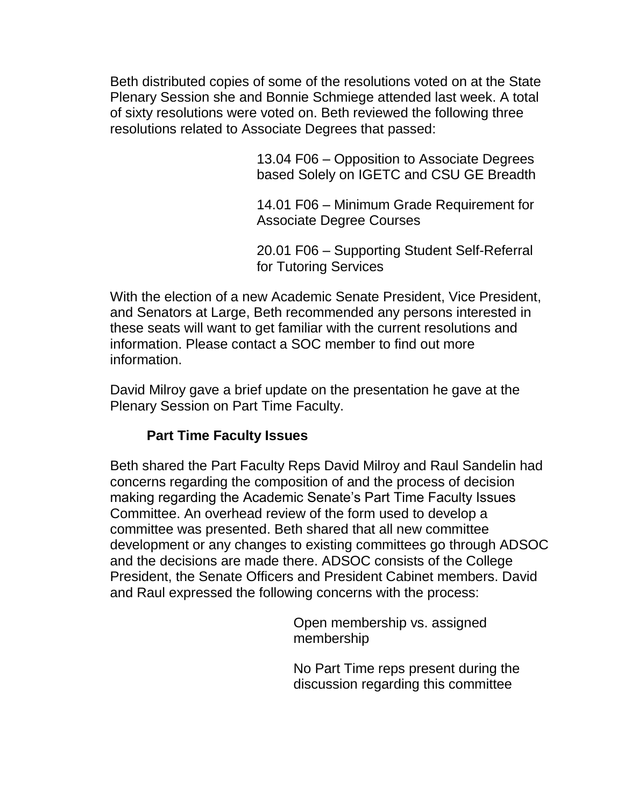Beth distributed copies of some of the resolutions voted on at the State Plenary Session she and Bonnie Schmiege attended last week. A total of sixty resolutions were voted on. Beth reviewed the following three resolutions related to Associate Degrees that passed:

> 13.04 F06 – Opposition to Associate Degrees based Solely on IGETC and CSU GE Breadth

> 14.01 F06 – Minimum Grade Requirement for Associate Degree Courses

> 20.01 F06 – Supporting Student Self-Referral for Tutoring Services

With the election of a new Academic Senate President, Vice President, and Senators at Large, Beth recommended any persons interested in these seats will want to get familiar with the current resolutions and information. Please contact a SOC member to find out more information.

David Milroy gave a brief update on the presentation he gave at the Plenary Session on Part Time Faculty.

### **Part Time Faculty Issues**

Beth shared the Part Faculty Reps David Milroy and Raul Sandelin had concerns regarding the composition of and the process of decision making regarding the Academic Senate's Part Time Faculty Issues Committee. An overhead review of the form used to develop a committee was presented. Beth shared that all new committee development or any changes to existing committees go through ADSOC and the decisions are made there. ADSOC consists of the College President, the Senate Officers and President Cabinet members. David and Raul expressed the following concerns with the process:

> Open membership vs. assigned membership

No Part Time reps present during the discussion regarding this committee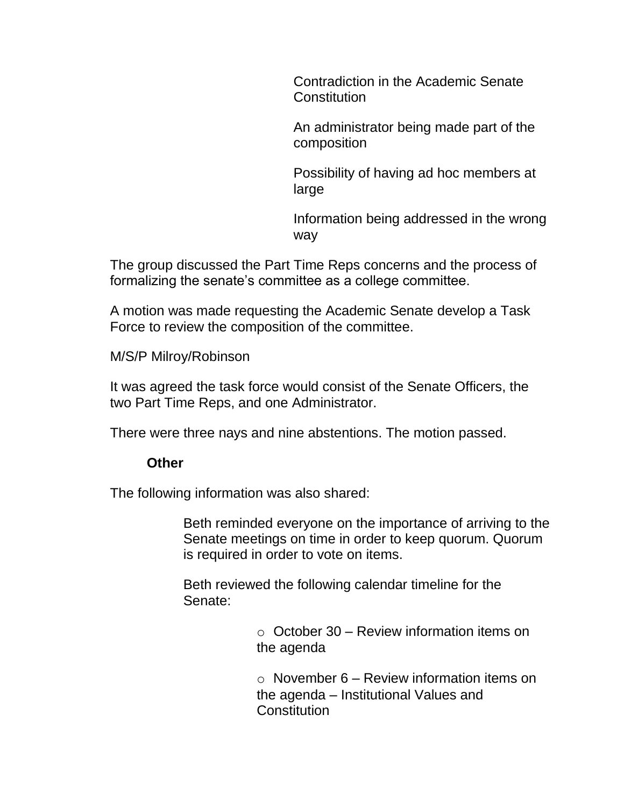Contradiction in the Academic Senate **Constitution** 

An administrator being made part of the composition

Possibility of having ad hoc members at large

Information being addressed in the wrong way

The group discussed the Part Time Reps concerns and the process of formalizing the senate's committee as a college committee.

A motion was made requesting the Academic Senate develop a Task Force to review the composition of the committee.

M/S/P Milroy/Robinson

It was agreed the task force would consist of the Senate Officers, the two Part Time Reps, and one Administrator.

There were three nays and nine abstentions. The motion passed.

#### **Other**

The following information was also shared:

Beth reminded everyone on the importance of arriving to the Senate meetings on time in order to keep quorum. Quorum is required in order to vote on items.

Beth reviewed the following calendar timeline for the Senate:

> $\circ$  October 30 – Review information items on the agenda

 $\circ$  November 6 – Review information items on the agenda – Institutional Values and **Constitution**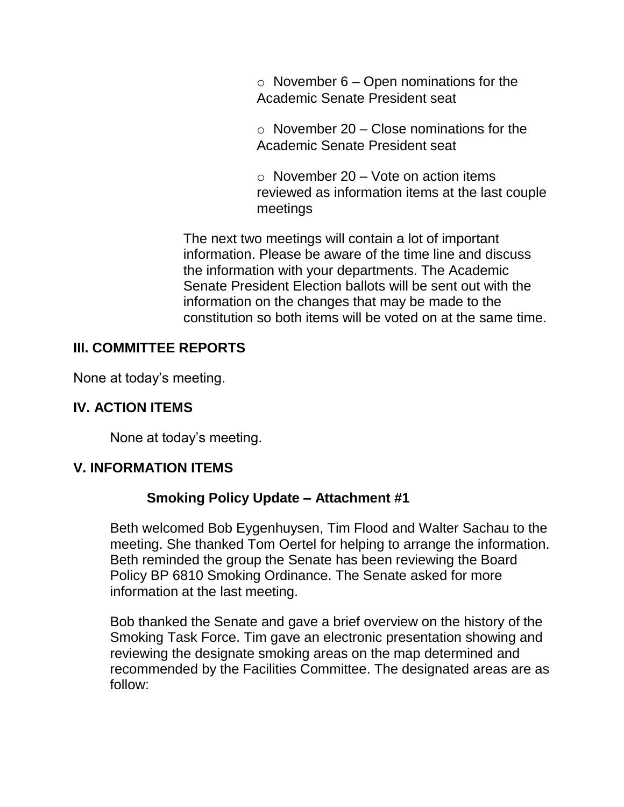$\circ$  November 6 – Open nominations for the Academic Senate President seat

 $\circ$  November 20 – Close nominations for the Academic Senate President seat

 $\circ$  November 20 – Vote on action items reviewed as information items at the last couple meetings

The next two meetings will contain a lot of important information. Please be aware of the time line and discuss the information with your departments. The Academic Senate President Election ballots will be sent out with the information on the changes that may be made to the constitution so both items will be voted on at the same time.

#### **III. COMMITTEE REPORTS**

None at today's meeting.

# **IV. ACTION ITEMS**

None at today's meeting.

#### **V. INFORMATION ITEMS**

#### **Smoking Policy Update – Attachment #1**

Beth welcomed Bob Eygenhuysen, Tim Flood and Walter Sachau to the meeting. She thanked Tom Oertel for helping to arrange the information. Beth reminded the group the Senate has been reviewing the Board Policy BP 6810 Smoking Ordinance. The Senate asked for more information at the last meeting.

Bob thanked the Senate and gave a brief overview on the history of the Smoking Task Force. Tim gave an electronic presentation showing and reviewing the designate smoking areas on the map determined and recommended by the Facilities Committee. The designated areas are as follow: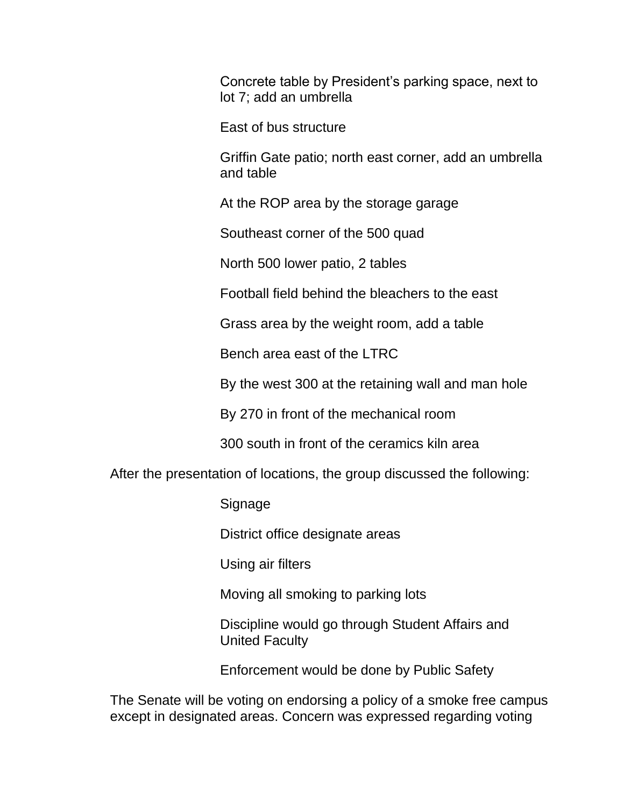Concrete table by President's parking space, next to lot 7; add an umbrella

East of bus structure

Griffin Gate patio; north east corner, add an umbrella and table

At the ROP area by the storage garage

Southeast corner of the 500 quad

North 500 lower patio, 2 tables

Football field behind the bleachers to the east

Grass area by the weight room, add a table

Bench area east of the LTRC

By the west 300 at the retaining wall and man hole

By 270 in front of the mechanical room

300 south in front of the ceramics kiln area

After the presentation of locations, the group discussed the following:

**Signage** 

District office designate areas

Using air filters

Moving all smoking to parking lots

Discipline would go through Student Affairs and United Faculty

Enforcement would be done by Public Safety

The Senate will be voting on endorsing a policy of a smoke free campus except in designated areas. Concern was expressed regarding voting